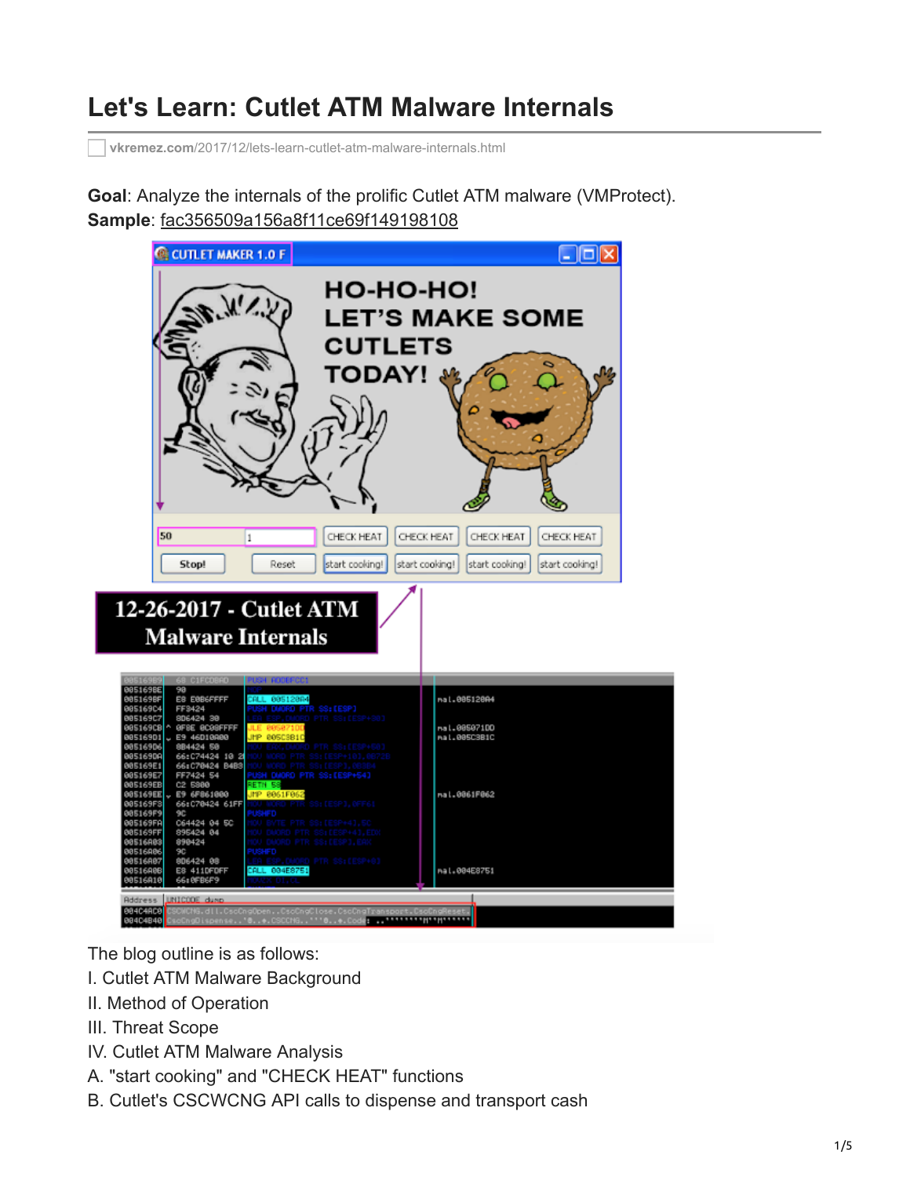# **Let's Learn: Cutlet ATM Malware Internals**

**vkremez.com**[/2017/12/lets-learn-cutlet-atm-malware-internals.html](http://www.vkremez.com/2017/12/lets-learn-cutlet-atm-malware-internals.html)

**Goal**: Analyze the internals of the prolific Cutlet ATM malware (VMProtect). **Sample**: [fac356509a156a8f11ce69f149198108](https://www.virustotal.com/#/file/4a340a0a95f2af5ab7f3bfe6f304154e617d0c47ce31ee8426c70b86e195320c/detection)



The blog outline is as follows:

- I. Cutlet ATM Malware Background
- II. Method of Operation
- III. Threat Scope
- IV. Cutlet ATM Malware Analysis
- A. "start cooking" and "CHECK HEAT" functions
- B. Cutlet's CSCWCNG API calls to dispense and transport cash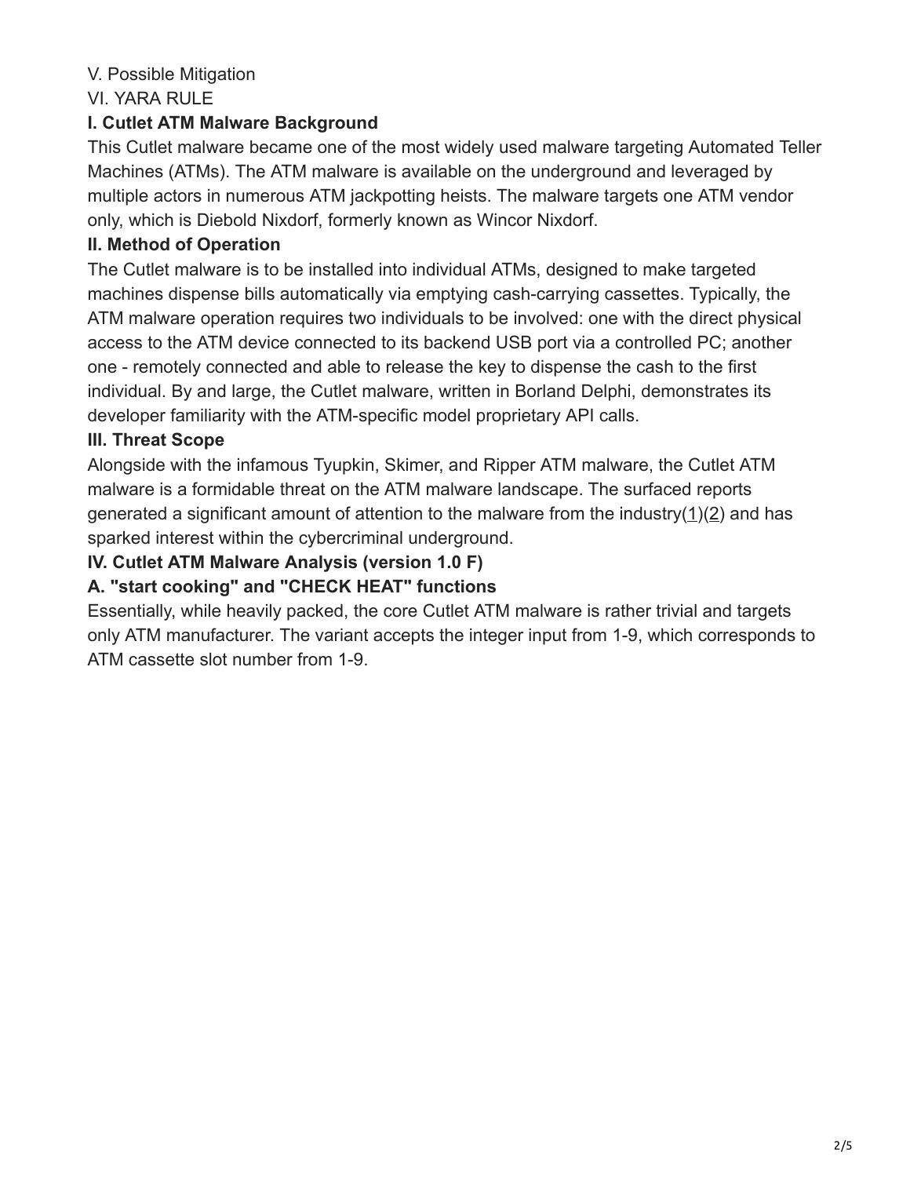# V. Possible Mitigation

### VI. YARA RULE

# **I. Cutlet ATM Malware Background**

This Cutlet malware became one of the most widely used malware targeting Automated Teller Machines (ATMs). The ATM malware is available on the underground and leveraged by multiple actors in numerous ATM jackpotting heists. The malware targets one ATM vendor only, which is Diebold Nixdorf, formerly known as Wincor Nixdorf.

# **II. Method of Operation**

The Cutlet malware is to be installed into individual ATMs, designed to make targeted machines dispense bills automatically via emptying cash-carrying cassettes. Typically, the ATM malware operation requires two individuals to be involved: one with the direct physical access to the ATM device connected to its backend USB port via a controlled PC; another one - remotely connected and able to release the key to dispense the cash to the first individual. By and large, the Cutlet malware, written in Borland Delphi, demonstrates its developer familiarity with the ATM-specific model proprietary API calls.

# **III. Threat Scope**

Alongside with the infamous Tyupkin, Skimer, and Ripper ATM malware, the Cutlet ATM malware is a formidable threat on the ATM malware landscape. The surfaced reports generated a significant amount of attention to the malware from the industry( $\frac{1}{2}$ ) and has sparked interest within the cybercriminal underground.

# **IV. Cutlet ATM Malware Analysis (version 1.0 F)**

# **A. "start cooking" and "CHECK HEAT" functions**

Essentially, while heavily packed, the core Cutlet ATM malware is rather trivial and targets only ATM manufacturer. The variant accepts the integer input from 1-9, which corresponds to ATM cassette slot number from 1-9.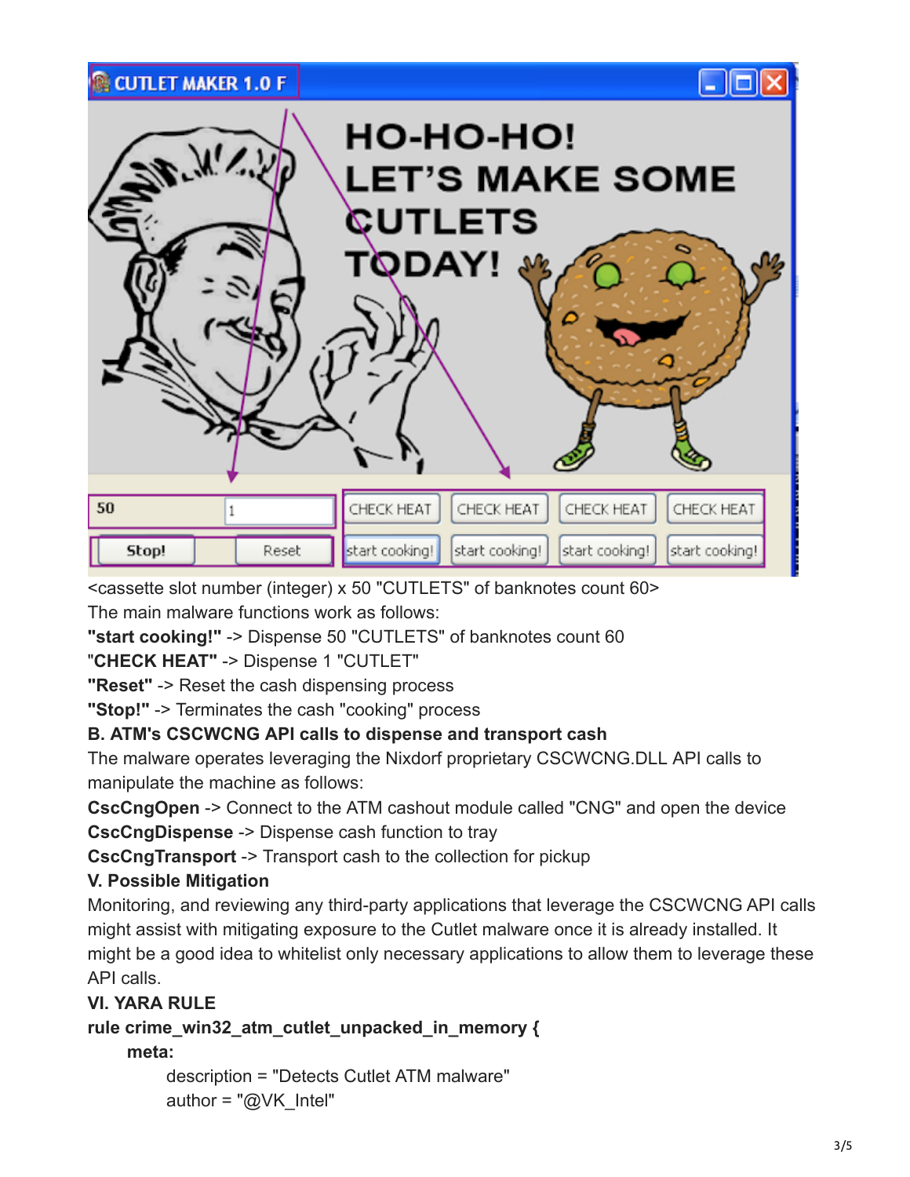

<cassette slot number (integer) x 50 "CUTLETS" of banknotes count 60>

The main malware functions work as follows:

**"start cooking!"** -> Dispense 50 "CUTLETS" of banknotes count 60

"**CHECK HEAT"** -> Dispense 1 "CUTLET"

**"Reset"** -> Reset the cash dispensing process

**"Stop!"** -> Terminates the cash "cooking" process

# **B. ATM's CSCWCNG API calls to dispense and transport cash**

The malware operates leveraging the Nixdorf proprietary CSCWCNG.DLL API calls to manipulate the machine as follows:

**CscCngOpen** -> Connect to the ATM cashout module called "CNG" and open the device **CscCngDispense** -> Dispense cash function to tray

**CscCngTransport** -> Transport cash to the collection for pickup

# **V. Possible Mitigation**

Monitoring, and reviewing any third-party applications that leverage the CSCWCNG API calls might assist with mitigating exposure to the Cutlet malware once it is already installed. It might be a good idea to whitelist only necessary applications to allow them to leverage these API calls.

# **VI. YARA RULE**

# **rule crime\_win32\_atm\_cutlet\_unpacked\_in\_memory {**

# **meta:**

 description = "Detects Cutlet ATM malware" author = "@VK\_Intel"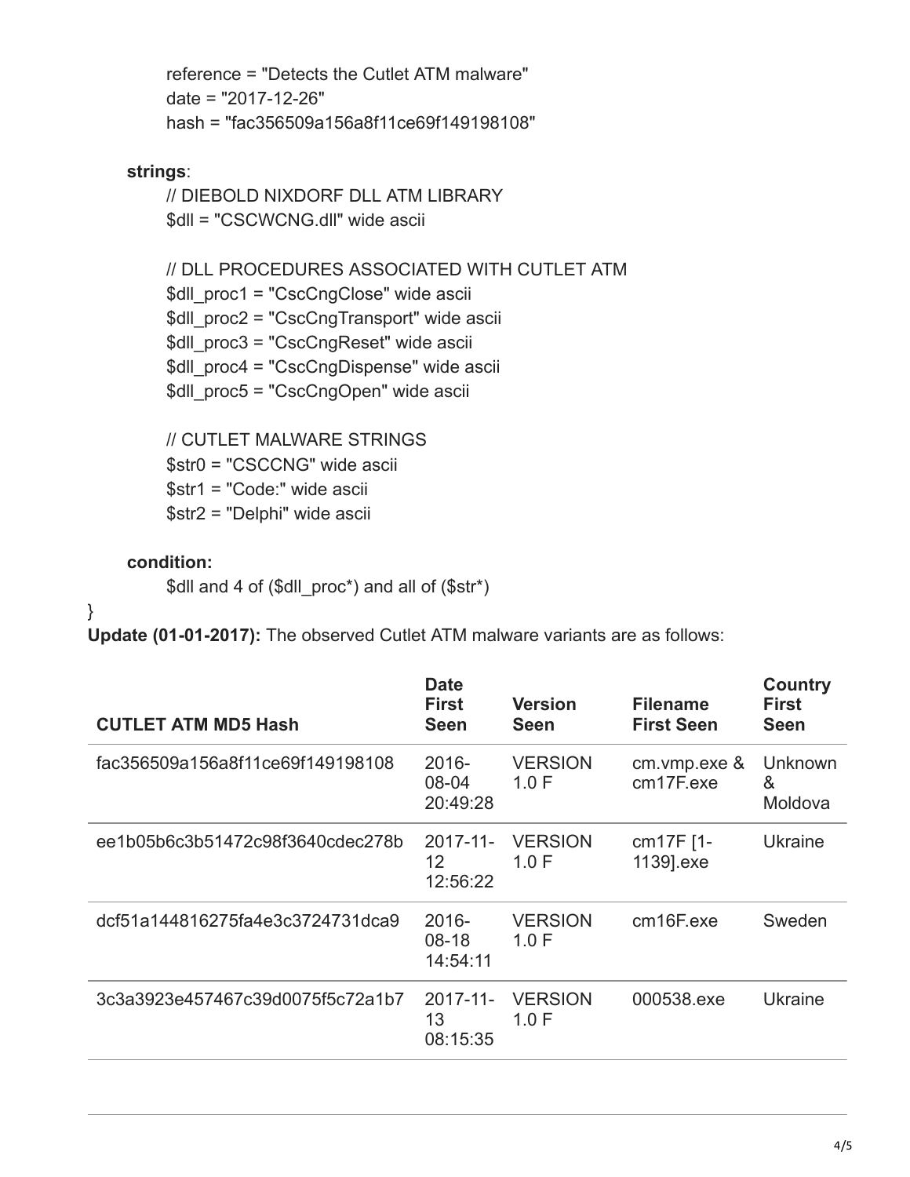reference = "Detects the Cutlet ATM malware" date = "2017-12-26" hash = "fac356509a156a8f11ce69f149198108"

#### **strings**:

 // DIEBOLD NIXDORF DLL ATM LIBRARY \$dll = "CSCWCNG.dll" wide ascii

// DLL PROCEDURES ASSOCIATED WITH CUTLET ATM

\$dll\_proc1 = "CscCngClose" wide ascii

\$dll\_proc2 = "CscCngTransport" wide ascii

\$dll\_proc3 = "CscCngReset" wide ascii

\$dll\_proc4 = "CscCngDispense" wide ascii

\$dll\_proc5 = "CscCngOpen" wide ascii

### // CUTLET MALWARE STRINGS

\$str0 = "CSCCNG" wide ascii

\$str1 = "Code:" wide ascii

\$str2 = "Delphi" wide ascii

#### **condition:**

\$dll and 4 of (\$dll\_proc\*) and all of (\$str\*)

### }

**Update (01-01-2017):** The observed Cutlet ATM malware variants are as follows:

| <b>CUTLET ATM MD5 Hash</b>       | <b>Date</b><br><b>First</b><br><b>Seen</b> | <b>Version</b><br><b>Seen</b> | <b>Filename</b><br><b>First Seen</b> | <b>Country</b><br><b>First</b><br><b>Seen</b> |
|----------------------------------|--------------------------------------------|-------------------------------|--------------------------------------|-----------------------------------------------|
| fac356509a156a8f11ce69f149198108 | $2016-$<br>08-04<br>20:49:28               | <b>VERSION</b><br>1.0 F       | $cm.vmp.exe$ $&$<br>cm17F.exe        | Unknown<br>&<br>Moldova                       |
| ee1b05b6c3b51472c98f3640cdec278b | $2017 - 11 -$<br>12<br>12:56:22            | <b>VERSION</b><br>1.0 F       | cm17F [1-<br>1139].exe               | Ukraine                                       |
| dcf51a144816275fa4e3c3724731dca9 | $2016 -$<br>$08 - 18$<br>14:54:11          | <b>VERSION</b><br>1.0 F       | cm16F.exe                            | Sweden                                        |
| 3c3a3923e457467c39d0075f5c72a1b7 | $2017 - 11$<br>13<br>08:15:35              | <b>VERSION</b><br>1.0 F       | 000538.exe                           | Ukraine                                       |